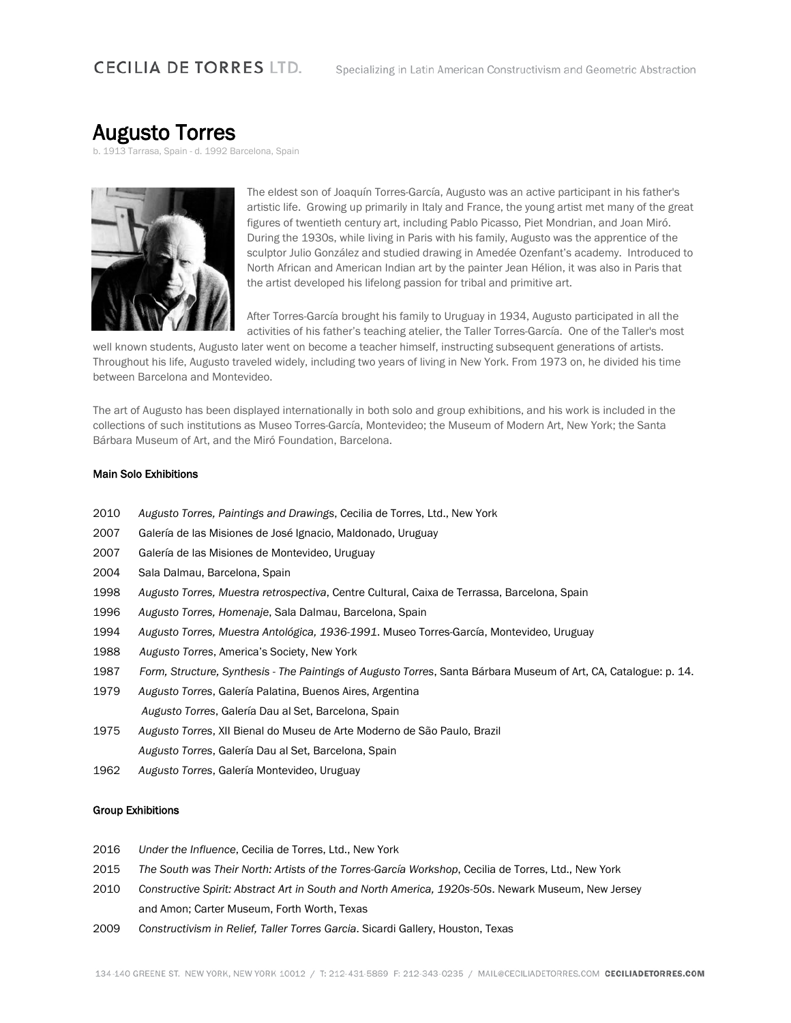## **CECILIA DE TORRES LTD.**

# Augusto Torres<br>b. 1913 Tarrasa, Spain - d. 1992 Barcelona, Spain



The eldest son of Joaquín Torres-García, Augusto was an active participant in his father's artistic life. Growing up primarily in Italy and France, the young artist met many of the great figures of twentieth century art, including Pablo Picasso, Piet Mondrian, and Joan Miró. During the 1930s, while living in Paris with his family, Augusto was the apprentice of the sculptor Julio González and studied drawing in Amedée Ozenfant's academy. Introduced to North African and American Indian art by the painter Jean Hélion, it was also in Paris that the artist developed his lifelong passion for tribal and primitive art.

After Torres-García brought his family to Uruguay in 1934, Augusto participated in all the activities of his father's teaching atelier, the Taller Torres-García. One of the Taller's most

well known students, Augusto later went on become a teacher himself, instructing subsequent generations of artists. Throughout his life, Augusto traveled widely, including two years of living in New York. From 1973 on, he divided his time between Barcelona and Montevideo.

The art of Augusto has been displayed internationally in both solo and group exhibitions, and his work is included in the collections of such institutions as Museo Torres-García, Montevideo; the Museum of Modern Art, New York; the Santa Bárbara Museum of Art, and the Miró Foundation, Barcelona.

#### Main Solo Exhibitions

- 2010 *Augusto Torres, Paintings and Drawings*, Cecilia de Torres, Ltd., New York
- 2007 Galería de las Misiones de José Ignacio, Maldonado, Uruguay
- 2007 Galería de las Misiones de Montevideo, Uruguay
- 2004 Sala Dalmau, Barcelona, Spain
- 1998 *Augusto Torres, Muestra retrospectiva*, Centre Cultural, Caixa de Terrassa, Barcelona, Spain
- 1996 *Augusto Torres, Homenaje*, Sala Dalmau, Barcelona, Spain
- 1994 *Augusto Torres, Muestra Antológica, 1936-1991*. Museo Torres-García, Montevideo, Uruguay
- 1988 *Augusto Torres*, America's Society, New York
- 1987 *Form, Structure, Synthesis - The Paintings of Augusto Torres*, Santa Bárbara Museum of Art, CA, Catalogue: p. 14.
- 1979 *Augusto Torres*, Galería Palatina, Buenos Aires, Argentina *Augusto Torres*, Galería Dau al Set, Barcelona, Spain
- 1975 *Augusto Torres*, XII Bienal do Museu de Arte Moderno de São Paulo, Brazil *Augusto Torres*, Galería Dau al Set, Barcelona, Spain
- 1962 *Augusto Torres*, Galería Montevideo, Uruguay

#### Group Exhibitions

- 2016 *Under the Influence*, Cecilia de Torres, Ltd., New York
- 2015 *The South was Their North: Artists of the Torres-García Workshop*, Cecilia de Torres, Ltd., New York
- 2010 *Constructive Spirit: Abstract Art in South and North America, 1920s-50s*. Newark Museum, New Jersey and Amon; Carter Museum, Forth Worth, Texas
- 2009 *Constructivism in Relief, Taller Torres Garcia*. Sicardi Gallery, Houston, Texas